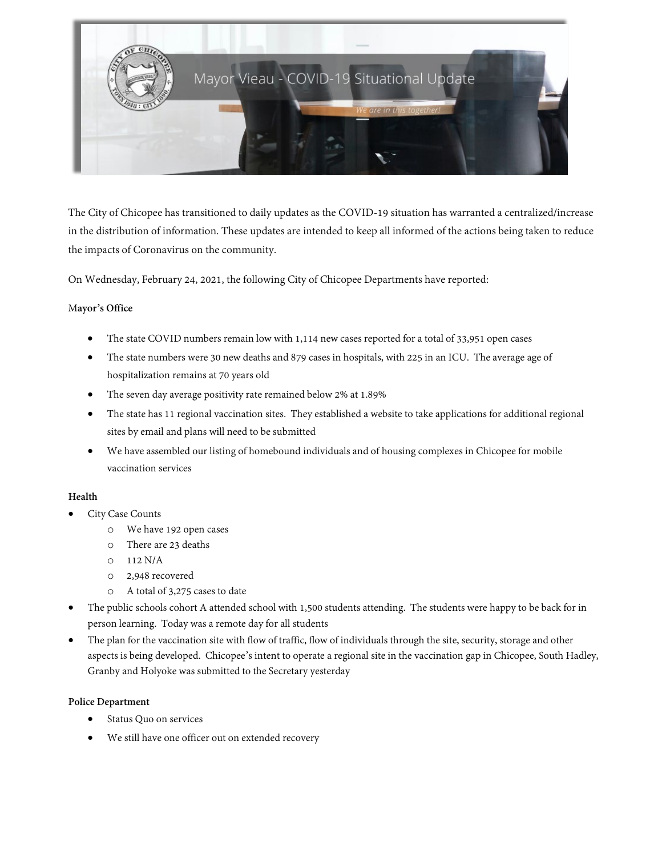

The City of Chicopee has transitioned to daily updates as the COVID-19 situation has warranted a centralized/increase in the distribution of information. These updates are intended to keep all informed of the actions being taken to reduce the impacts of Coronavirus on the community.

On Wednesday, February 24, 2021, the following City of Chicopee Departments have reported:

## M**ayor's Office**

- The state COVID numbers remain low with 1,114 new cases reported for a total of 33,951 open cases
- The state numbers were 30 new deaths and 879 cases in hospitals, with 225 in an ICU. The average age of hospitalization remains at 70 years old
- The seven day average positivity rate remained below 2% at 1.89%
- The state has 11 regional vaccination sites. They established a website to take applications for additional regional sites by email and plans will need to be submitted
- We have assembled our listing of homebound individuals and of housing complexes in Chicopeefor mobile vaccination services

# **Health**

- City Case Counts
	- o We have 192 open cases
	- o There are 23 deaths
	- o 112 N/A
	- o 2,948 recovered
	- o A total of 3,275 cases to date
- The public schools cohort A attended school with 1,500 students attending. The students were happy to be back for in person learning. Today was a remote day for all students
- The plan for the vaccination site with flow of traffic, flow of individuals through the site, security, storage and other aspects is being developed. Chicopee's intent to operate a regional site in the vaccination gap in Chicopee, South Hadley, Granby and Holyoke was submitted to the Secretary yesterday

## **Police Department**

- Status Quo on services
- We still have one officer out on extended recovery